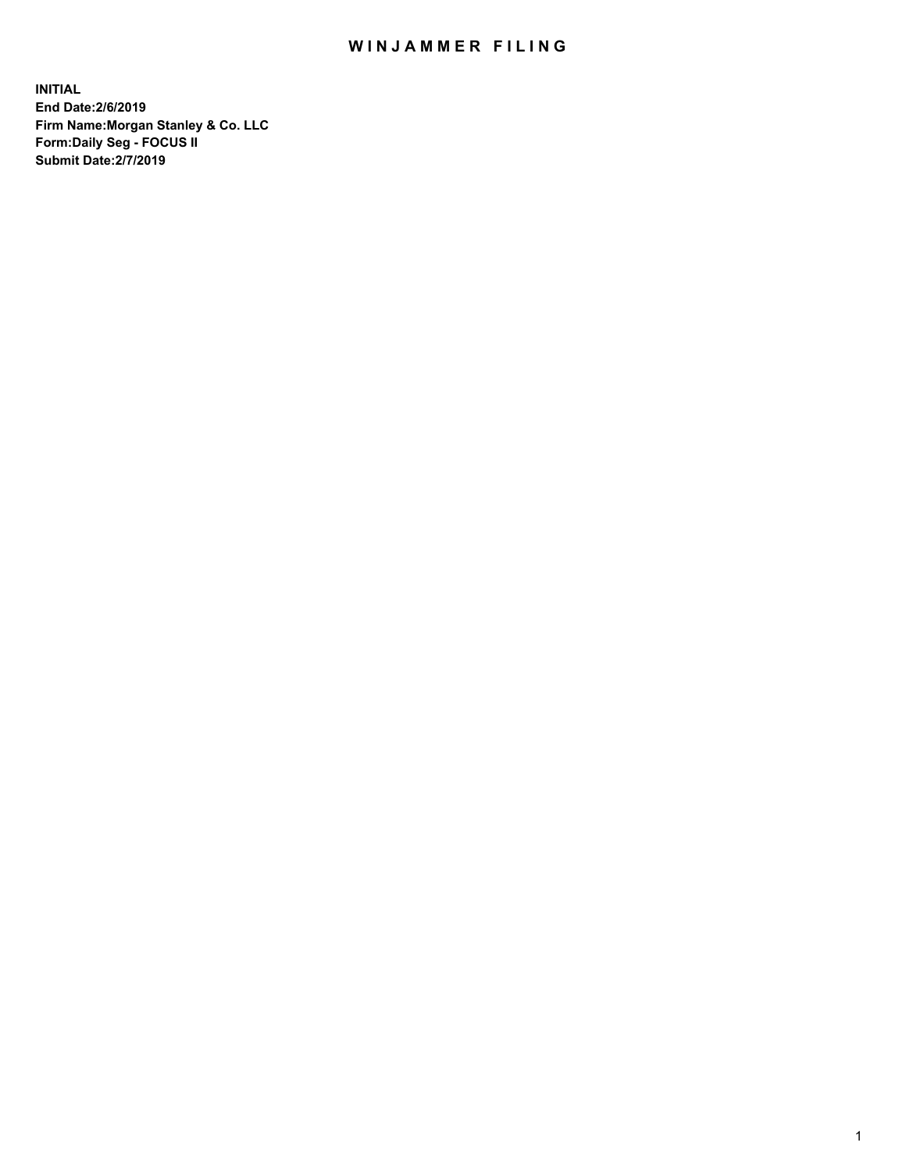## WIN JAMMER FILING

**INITIAL End Date:2/6/2019 Firm Name:Morgan Stanley & Co. LLC Form:Daily Seg - FOCUS II Submit Date:2/7/2019**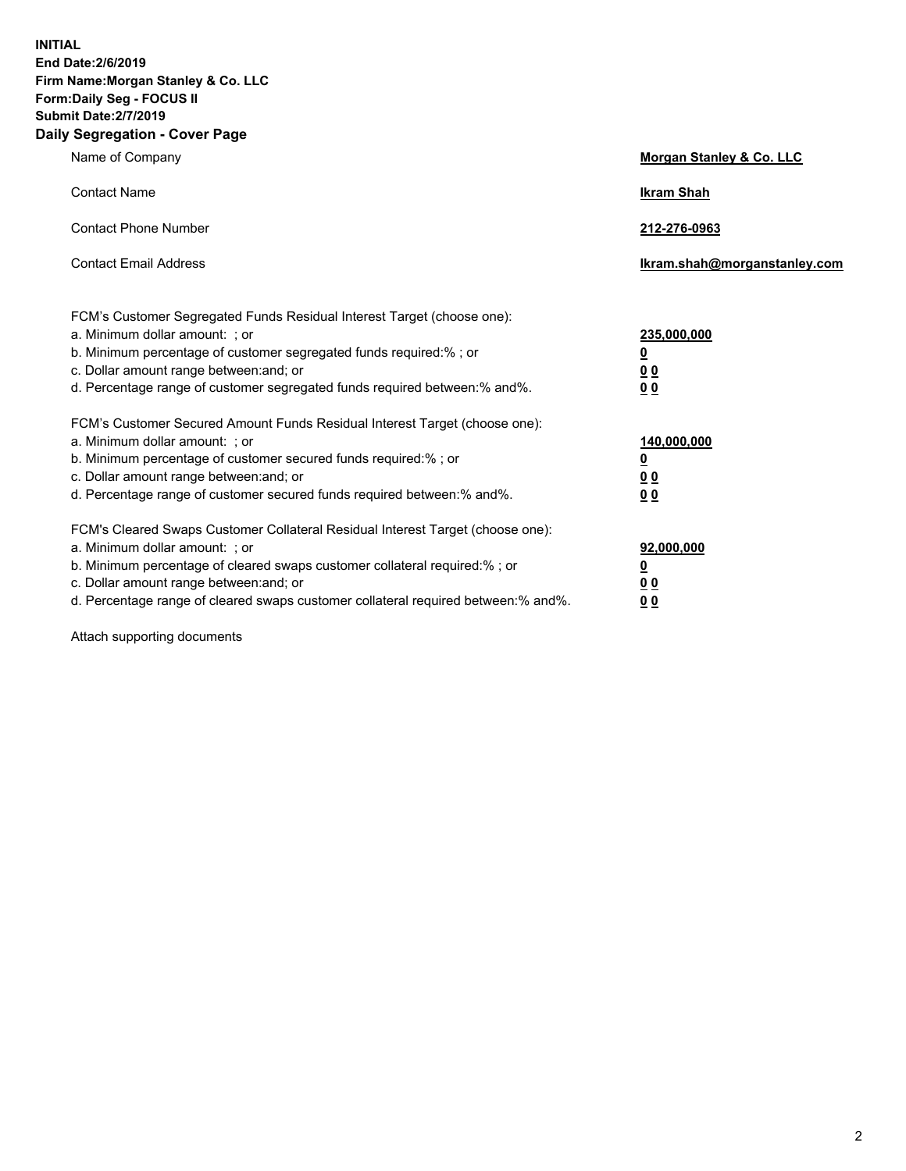**INITIAL End Date:2/6/2019 Firm Name:Morgan Stanley & Co. LLC Form:Daily Seg - FOCUS II Submit Date:2/7/2019 Daily Segregation - Cover Page**

| Name of Company                                                                                                                                                                                                                                                                                                                | Morgan Stanley & Co. LLC                                    |
|--------------------------------------------------------------------------------------------------------------------------------------------------------------------------------------------------------------------------------------------------------------------------------------------------------------------------------|-------------------------------------------------------------|
| <b>Contact Name</b>                                                                                                                                                                                                                                                                                                            | <b>Ikram Shah</b>                                           |
| <b>Contact Phone Number</b>                                                                                                                                                                                                                                                                                                    | 212-276-0963                                                |
| <b>Contact Email Address</b>                                                                                                                                                                                                                                                                                                   | Ikram.shah@morganstanley.com                                |
| FCM's Customer Segregated Funds Residual Interest Target (choose one):<br>a. Minimum dollar amount: ; or<br>b. Minimum percentage of customer segregated funds required:% ; or<br>c. Dollar amount range between: and; or<br>d. Percentage range of customer segregated funds required between:% and%.                         | 235,000,000<br><u>0</u><br>0 <sub>0</sub><br>00             |
| FCM's Customer Secured Amount Funds Residual Interest Target (choose one):<br>a. Minimum dollar amount: ; or<br>b. Minimum percentage of customer secured funds required:% ; or<br>c. Dollar amount range between: and; or<br>d. Percentage range of customer secured funds required between:% and%.                           | 140,000,000<br><u>0</u><br>0 <sub>0</sub><br>0 <sub>0</sub> |
| FCM's Cleared Swaps Customer Collateral Residual Interest Target (choose one):<br>a. Minimum dollar amount: ; or<br>b. Minimum percentage of cleared swaps customer collateral required:% ; or<br>c. Dollar amount range between: and; or<br>d. Percentage range of cleared swaps customer collateral required between:% and%. | 92,000,000<br><u>0</u><br>0 Q<br>0 <sub>0</sub>             |

Attach supporting documents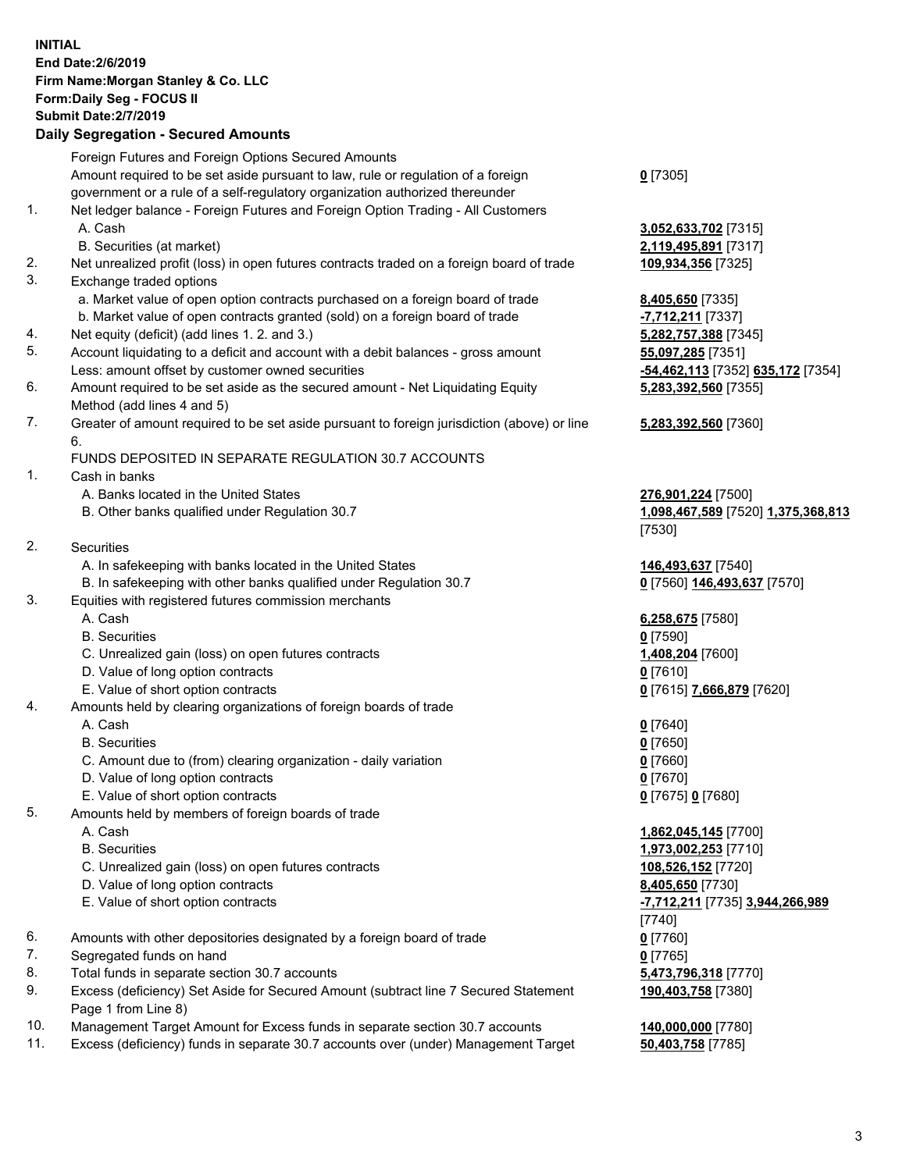## **INITIAL End Date:2/6/2019 Firm Name:Morgan Stanley & Co. LLC Form:Daily Seg - FOCUS II Submit Date:2/7/2019 Daily Segregation - Secured Amounts** Foreign Futures and Foreign Options Secured Amounts Amount required to be set aside pursuant to law, rule or regulation of a foreign government or a rule of a self-regulatory organization authorized thereunder **0** [7305] 1. Net ledger balance - Foreign Futures and Foreign Option Trading - All Customers A. Cash **3,052,633,702** [7315] B. Securities (at market) **2,119,495,891** [7317] 2. Net unrealized profit (loss) in open futures contracts traded on a foreign board of trade **109,934,356** [7325] 3. Exchange traded options a. Market value of open option contracts purchased on a foreign board of trade **8,405,650** [7335] b. Market value of open contracts granted (sold) on a foreign board of trade **-7,712,211** [7337] 4. Net equity (deficit) (add lines 1. 2. and 3.) **5,282,757,388** [7345] 5. Account liquidating to a deficit and account with a debit balances - gross amount **55,097,285** [7351] Less: amount offset by customer owned securities **-54,462,113** [7352] **635,172** [7354] 6. Amount required to be set aside as the secured amount - Net Liquidating Equity Method (add lines 4 and 5) **5,283,392,560** [7355] 7. Greater of amount required to be set aside pursuant to foreign jurisdiction (above) or line 6. **5,283,392,560** [7360] FUNDS DEPOSITED IN SEPARATE REGULATION 30.7 ACCOUNTS 1. Cash in banks A. Banks located in the United States **276,901,224** [7500] B. Other banks qualified under Regulation 30.7 **1,098,467,589** [7520] **1,375,368,813** [7530] 2. Securities A. In safekeeping with banks located in the United States **146,493,637** [7540] B. In safekeeping with other banks qualified under Regulation 30.7 **0** [7560] **146,493,637** [7570] 3. Equities with registered futures commission merchants A. Cash **6,258,675** [7580] B. Securities **0** [7590] C. Unrealized gain (loss) on open futures contracts **1,408,204** [7600] D. Value of long option contracts **0** [7610] E. Value of short option contracts **0** [7615] **7,666,879** [7620] 4. Amounts held by clearing organizations of foreign boards of trade A. Cash **0** [7640] B. Securities **0** [7650] C. Amount due to (from) clearing organization - daily variation **0** [7660] D. Value of long option contracts **0** [7670] E. Value of short option contracts **0** [7675] **0** [7680] 5. Amounts held by members of foreign boards of trade A. Cash **1,862,045,145** [7700] B. Securities **1,973,002,253** [7710] C. Unrealized gain (loss) on open futures contracts **108,526,152** [7720] D. Value of long option contracts **8,405,650** [7730] E. Value of short option contracts **-7,712,211** [7735] **3,944,266,989** [7740] 6. Amounts with other depositories designated by a foreign board of trade **0** [7760] 7. Segregated funds on hand **0** [7765] 8. Total funds in separate section 30.7 accounts **5,473,796,318** [7770] 9. Excess (deficiency) Set Aside for Secured Amount (subtract line 7 Secured Statement Page 1 from Line 8) **190,403,758** [7380] 10. Management Target Amount for Excess funds in separate section 30.7 accounts **140,000,000** [7780]

11. Excess (deficiency) funds in separate 30.7 accounts over (under) Management Target **50,403,758** [7785]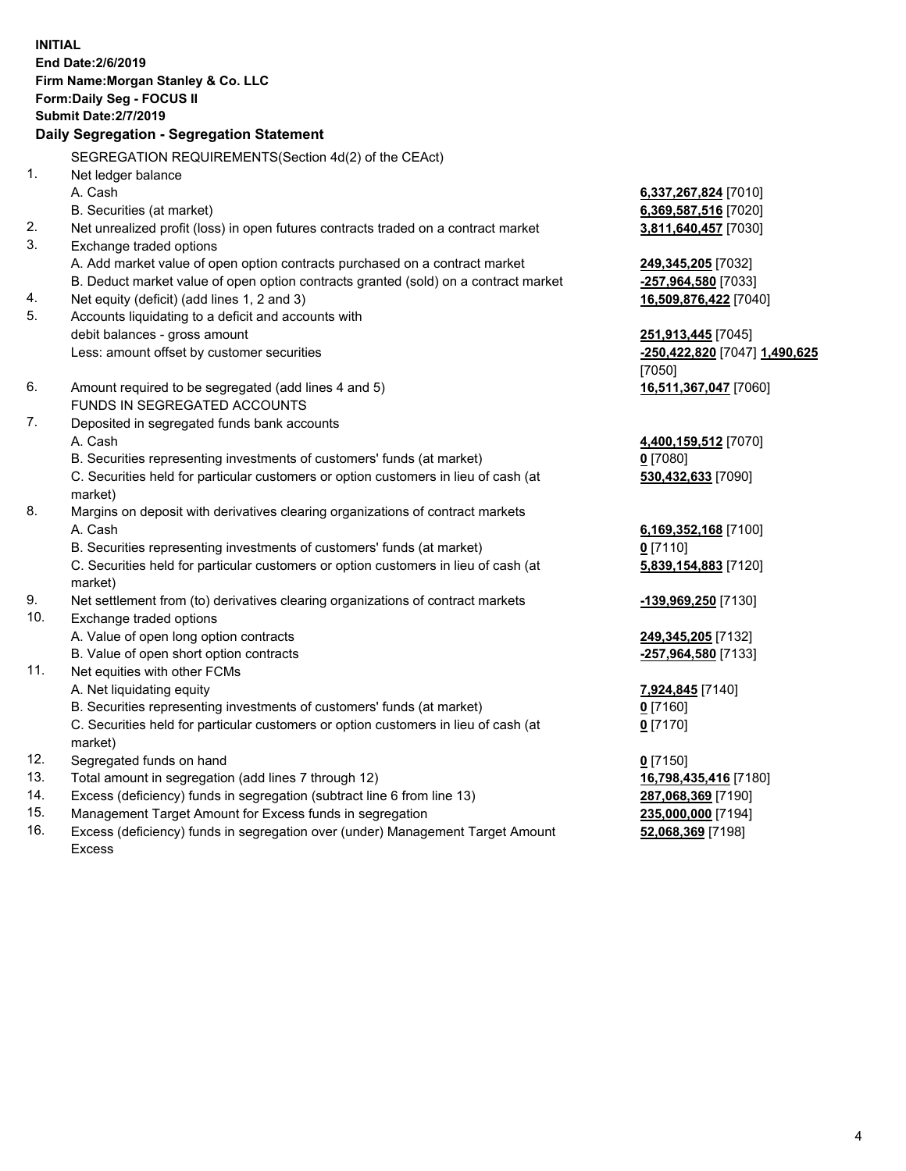**INITIAL End Date:2/6/2019 Firm Name:Morgan Stanley & Co. LLC Form:Daily Seg - FOCUS II Submit Date:2/7/2019 Daily Segregation - Segregation Statement** SEGREGATION REQUIREMENTS(Section 4d(2) of the CEAct) 1. Net ledger balance A. Cash **6,337,267,824** [7010] B. Securities (at market) **6,369,587,516** [7020] 2. Net unrealized profit (loss) in open futures contracts traded on a contract market **3,811,640,457** [7030] 3. Exchange traded options A. Add market value of open option contracts purchased on a contract market **249,345,205** [7032] B. Deduct market value of open option contracts granted (sold) on a contract market **-257,964,580** [7033] 4. Net equity (deficit) (add lines 1, 2 and 3) **16,509,876,422** [7040] 5. Accounts liquidating to a deficit and accounts with debit balances - gross amount **251,913,445** [7045] Less: amount offset by customer securities **-250,422,820** [7047] **1,490,625** [7050] 6. Amount required to be segregated (add lines 4 and 5) **16,511,367,047** [7060] FUNDS IN SEGREGATED ACCOUNTS 7. Deposited in segregated funds bank accounts A. Cash **4,400,159,512** [7070] B. Securities representing investments of customers' funds (at market) **0** [7080] C. Securities held for particular customers or option customers in lieu of cash (at market) **530,432,633** [7090] 8. Margins on deposit with derivatives clearing organizations of contract markets A. Cash **6,169,352,168** [7100] B. Securities representing investments of customers' funds (at market) **0** [7110] C. Securities held for particular customers or option customers in lieu of cash (at market) **5,839,154,883** [7120] 9. Net settlement from (to) derivatives clearing organizations of contract markets **-139,969,250** [7130] 10. Exchange traded options A. Value of open long option contracts **249,345,205** [7132] B. Value of open short option contracts **-257,964,580** [7133] 11. Net equities with other FCMs A. Net liquidating equity **7,924,845** [7140] B. Securities representing investments of customers' funds (at market) **0** [7160] C. Securities held for particular customers or option customers in lieu of cash (at market) **0** [7170] 12. Segregated funds on hand **0** [7150] 13. Total amount in segregation (add lines 7 through 12) **16,798,435,416** [7180] 14. Excess (deficiency) funds in segregation (subtract line 6 from line 13) **287,068,369** [7190] 15. Management Target Amount for Excess funds in segregation **235,000,000** [7194]

16. Excess (deficiency) funds in segregation over (under) Management Target Amount Excess

**52,068,369** [7198]